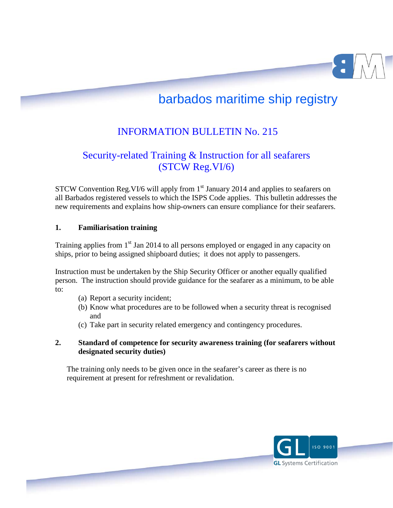# barbados maritime ship registry

## INFORMATION BULLETIN No. 215

### Security-related Training & Instruction for all seafarers (STCW Reg.VI/6)

STCW Convention Reg. VI/6 will apply from  $1<sup>st</sup>$  January 2014 and applies to seafarers on all Barbados registered vessels to which the ISPS Code applies. This bulletin addresses the new requirements and explains how ship-owners can ensure compliance for their seafarers.

#### **1. Familiarisation training**

Page **1** of **3**

Training applies from 1<sup>st</sup> Jan 2014 to all persons employed or engaged in any capacity on ships, prior to being assigned shipboard duties; it does not apply to passengers.

Instruction must be undertaken by the Ship Security Officer or another equally qualified person. The instruction should provide guidance for the seafarer as a minimum, to be able to:

- (a) Report a security incident;
- (b) Know what procedures are to be followed when a security threat is recognised and
- (c) Take part in security related emergency and contingency procedures.

### **2. Standard of competence for security awareness training (for seafarers without designated security duties)**

The training only needs to be given once in the seafarer's career as there is no requirement at present for refreshment or revalidation.

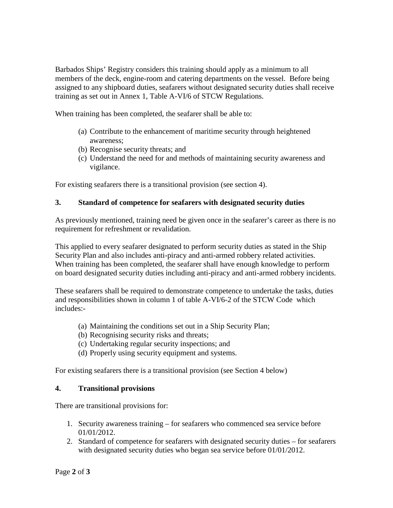Barbados Ships' Registry considers this training should apply as a minimum to all members of the deck, engine-room and catering departments on the vessel. Before being assigned to any shipboard duties, seafarers without designated security duties shall receive training as set out in Annex 1, Table A-VI/6 of STCW Regulations.

When training has been completed, the seafarer shall be able to:

- (a) Contribute to the enhancement of maritime security through heightened awareness;
- (b) Recognise security threats; and
- (c) Understand the need for and methods of maintaining security awareness and vigilance.

For existing seafarers there is a transitional provision (see section 4).

#### **3. Standard of competence for seafarers with designated security duties**

As previously mentioned, training need be given once in the seafarer's career as there is no requirement for refreshment or revalidation.

This applied to every seafarer designated to perform security duties as stated in the Ship Security Plan and also includes anti-piracy and anti-armed robbery related activities. When training has been completed, the seafarer shall have enough knowledge to perform on board designated security duties including anti-piracy and anti-armed robbery incidents.

These seafarers shall be required to demonstrate competence to undertake the tasks, duties and responsibilities shown in column 1 of table A-VI/6-2 of the STCW Code which includes:-

- (a) Maintaining the conditions set out in a Ship Security Plan;
- (b) Recognising security risks and threats;
- (c) Undertaking regular security inspections; and
- (d) Properly using security equipment and systems.

For existing seafarers there is a transitional provision (see Section 4 below)

#### **4. Transitional provisions**

There are transitional provisions for:

- 1. Security awareness training for seafarers who commenced sea service before 01/01/2012.
- 2. Standard of competence for seafarers with designated security duties for seafarers with designated security duties who began sea service before 01/01/2012.